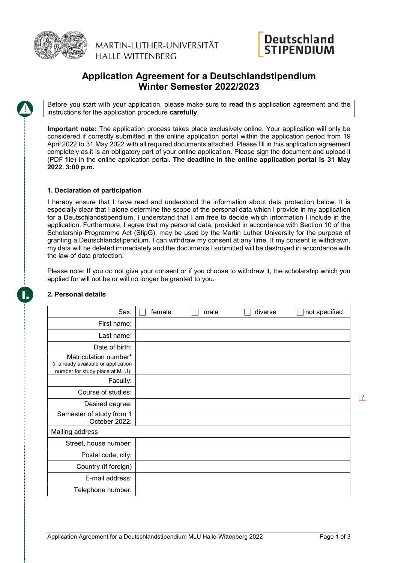

MARTIN-LUTHER-UNIVERSITÄT HALLF-WITTFNBFRG



# **Application Agreement for a Deutschlandstipendium Winter Semester 2022/2023**

Before you start with your application, please make sure to **read** this application agreement and the instructions for the application procedure **carefully**.

**Important note:** The application process takes place exclusively online. Your application will only be considered if correctly submitted in the online application portal within the application period from 19 April 2022 to 31 May 2022 with all required documents attached. Please fill in this application agreement completely as it is an obligatory part of your online application. Please sign the document and upload it (PDF file) in the online application portal. **The deadline in the online application portal is 31 May 2022, 3:00 p.m.** 

# **1. Declaration of participation**

I hereby ensure that I have read and understood the information about data protection below. It is especially clear that I alone determine the scope of the personal data which I provide in my application for a Deutschlandstipendium. I understand that I am free to decide which information I include in the application. Furthermore, I agree that my personal data, provided in accordance with Section 10 of the Scholarship Programme Act (StipG), may be used by the Martin Luther University for the purpose of granting a Deutschlandstipendium. I can withdraw my consent at any time. If my consent is withdrawn, my data will be deleted immediately and the documents I submitted will be destroyed in accordance with the law of data protection.

Please note: If you do not give your consent or if you choose to withdraw it, the scholarship which you applied for will not be or will no longer be granted to you.

| Sex:                                                                                             | female | male | diverse | not specified |
|--------------------------------------------------------------------------------------------------|--------|------|---------|---------------|
| First name:                                                                                      |        |      |         |               |
| Last name:                                                                                       |        |      |         |               |
| Date of birth:                                                                                   |        |      |         |               |
| Matriculation number*<br>(if already available or application<br>number for study place at MLU): |        |      |         |               |
| Faculty:                                                                                         |        |      |         |               |
| Course of studies:                                                                               |        |      |         |               |
| Desired degree:                                                                                  |        |      |         |               |
| Semester of study from 1<br>October 2022:                                                        |        |      |         |               |
| <b>Mailing address</b>                                                                           |        |      |         |               |
| Street, house number:                                                                            |        |      |         |               |
| Postal code, city:                                                                               |        |      |         |               |
| Country (if foreign)                                                                             |        |      |         |               |
| E-mail address:                                                                                  |        |      |         |               |
| Telephone number:                                                                                |        |      |         |               |

# **2. Personal details**

I.

 $\sqrt{?}$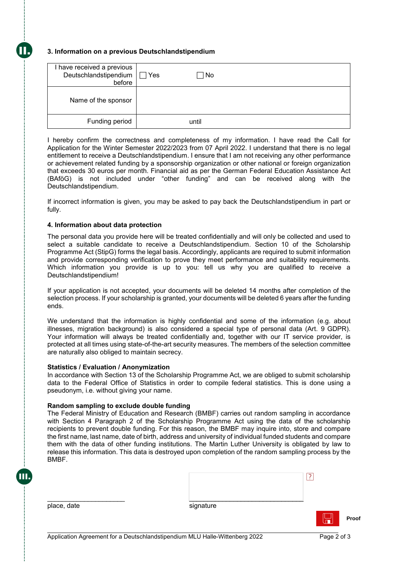# **3. Information on a previous Deutschlandstipendium**

II.

| have received a previous<br>Deutschlandstipendium<br>before | Yes<br>No. |
|-------------------------------------------------------------|------------|
| Name of the sponsor                                         |            |
| Funding period                                              | until      |

I hereby confirm the correctness and completeness of my information. I have read the Call for Application for the Winter Semester 2022/2023 from 07 April 2022. I understand that there is no legal entitlement to receive a Deutschlandstipendium. I ensure that I am not receiving any other performance or achievement related funding by a sponsorship organization or other national or foreign organization that exceeds 30 euros per month. Financial aid as per the German Federal Education Assistance Act (BAföG) is not included under "other funding" and can be received along with the Deutschlandstipendium.

If incorrect information is given, you may be asked to pay back the Deutschlandstipendium in part or fully.

## **4. Information about data protection**

The personal data you provide here will be treated confidentially and will only be collected and used to select a suitable candidate to receive a Deutschlandstipendium. Section 10 of the Scholarship Programme Act (StipG) forms the legal basis. Accordingly, applicants are required to submit information and provide corresponding verification to prove they meet performance and suitability requirements. Which information you provide is up to you: tell us why you are qualified to receive a Deutschlandstipendium!

If your application is not accepted, your documents will be deleted 14 months after completion of the selection process. If your scholarship is granted, your documents will be deleted 6 years after the funding ends.

We understand that the information is highly confidential and some of the information (e.g. about illnesses, migration background) is also considered a special type of personal data (Art. 9 GDPR). Your information will always be treated confidentially and, together with our IT service provider, is protected at all times using state-of-the-art security measures. The members of the selection committee are naturally also obliged to maintain secrecy.

### **Statistics / Evaluation / Anonymization**

In accordance with Section 13 of the Scholarship Programme Act, we are obliged to submit scholarship data to the Federal Office of Statistics in order to compile federal statistics. This is done using a pseudonym, i.e. without giving your name.

### **Random sampling to exclude double funding**

The Federal Ministry of Education and Research (BMBF) carries out random sampling in accordance with Section 4 Paragraph 2 of the Scholarship Programme Act using the data of the scholarship recipients to prevent double funding. For this reason, the BMBF may inquire into, store and compare the first name, last name, date of birth, address and university of individual funded students and compare them with the data of other funding institutions. The Martin Luther University is obligated by law to release this information. This data is destroyed upon completion of the random sampling process by the BMBF.

| signature |  |
|-----------|--|

place, date

III.

\_\_\_\_\_\_\_\_\_\_\_\_\_\_\_\_\_\_\_\_\_

**Proof**